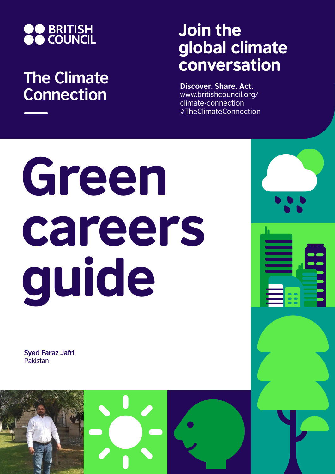

## **The Climate Connection**

## Join the global climate conversation

**Discover. Share. Act.** www.britishcouncil.org/ climate-connection #TheClimateConnection

# Green careers guide

**Syed Faraz Jafri** Pakistan

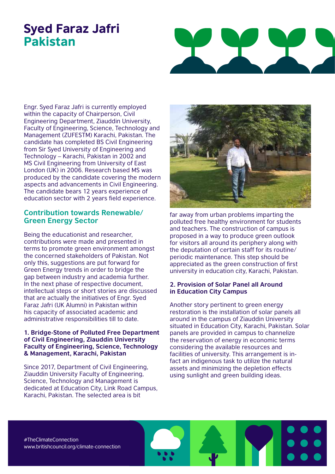### Syed Faraz Jafri Pakistan



Engr. Syed Faraz Jafri is currently employed within the capacity of Chairperson, Civil Engineering Department, Ziauddin University, Faculty of Engineering, Science, Technology and Management (ZUFESTM) Karachi, Pakistan. The candidate has completed BS Civil Engineering from Sir Syed University of Engineering and Technology – Karachi, Pakistan in 2002 and MS Civil Engineering from University of East London (UK) in 2006. Research based MS was produced by the candidate covering the modern aspects and advancements in Civil Engineering. The candidate bears 12 years experience of education sector with 2 years field experience.

#### **Contribution towards Renewable/ Green Energy Sector**

Being the educationist and researcher, contributions were made and presented in terms to promote green environment amongst the concerned stakeholders of Pakistan. Not only this, suggestions are put forward for Green Energy trends in order to bridge the gap between industry and academia further. In the next phase of respective document, intellectual steps or short stories are discussed that are actually the initiatives of Engr. Syed Faraz Jafri (UK Alumni) in Pakistan within his capacity of associated academic and administrative responsibilities till to date.

#### **1. Bridge-Stone of Polluted Free Department of Civil Engineering, Ziauddin University Faculty of Engineering, Science, Technology & Management, Karachi, Pakistan**

Since 2017, Department of Civil Engineering, Ziauddin University Faculty of Engineering, Science, Technology and Management is dedicated at Education City, Link Road Campus, Karachi, Pakistan. The selected area is bit



far away from urban problems imparting the polluted free healthy environment for students and teachers. The construction of campus is proposed in a way to produce green outlook for visitors all around its periphery along with the deputation of certain staff for its routine/ periodic maintenance. This step should be appreciated as the green construction of first university in education city, Karachi, Pakistan.

#### **2. Provision of Solar Panel all Around in Education City Campus**

Another story pertinent to green energy restoration is the installation of solar panels all around in the campus of Ziauddin University situated in Education City, Karachi, Pakistan. Solar panels are provided in campus to channelize the reservation of energy in economic terms considering the available resources and facilities of university. This arrangement is infact an indigenous task to utilize the natural assets and minimizing the depletion effects using sunlight and green building ideas.

#TheClimateConnection www.britishcouncil.org/climate-connection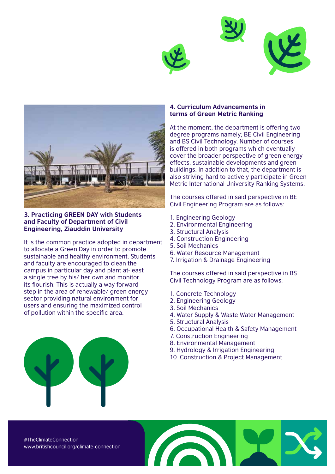



**3. Practicing GREEN DAY with Students and Faculty of Department of Civil Engineering, Ziauddin University**

It is the common practice adopted in department to allocate a Green Day in order to promote sustainable and healthy environment. Students and faculty are encouraged to clean the campus in particular day and plant at-least a single tree by his/ her own and monitor its flourish. This is actually a way forward step in the area of renewable/ green energy sector providing natural environment for users and ensuring the maximized control of pollution within the specific area.

#### **4. Curriculum Advancements in terms of Green Metric Ranking**

At the moment, the department is offering two degree programs namely; BE Civil Engineering and BS Civil Technology. Number of courses is offered in both programs which eventually cover the broader perspective of green energy effects, sustainable developments and green buildings. In addition to that, the department is also striving hard to actively participate in Green Metric International University Ranking Systems.

The courses offered in said perspective in BE Civil Engineering Program are as follows:

- 1. Engineering Geology
- 2. Environmental Engineering
- 3. Structural Analysis
- 4. Construction Engineering
- 5. Soil Mechanics
- 6. Water Resource Management
- 7. Irrigation & Drainage Engineering

The courses offered in said perspective in BS Civil Technology Program are as follows:

- 1. Concrete Technology
- 2. Engineering Geology
- 3. Soil Mechanics
- 4. Water Supply & Waste Water Management
- 5. Structural Analysis
- 6. Occupational Health & Safety Management
- 7. Construction Engineering
- 8. Environmental Management
- 9. Hydrology & Irrigation Engineering
- 10. Construction & Project Management



#TheClimateConnection www.britishcouncil.org/climate-connection